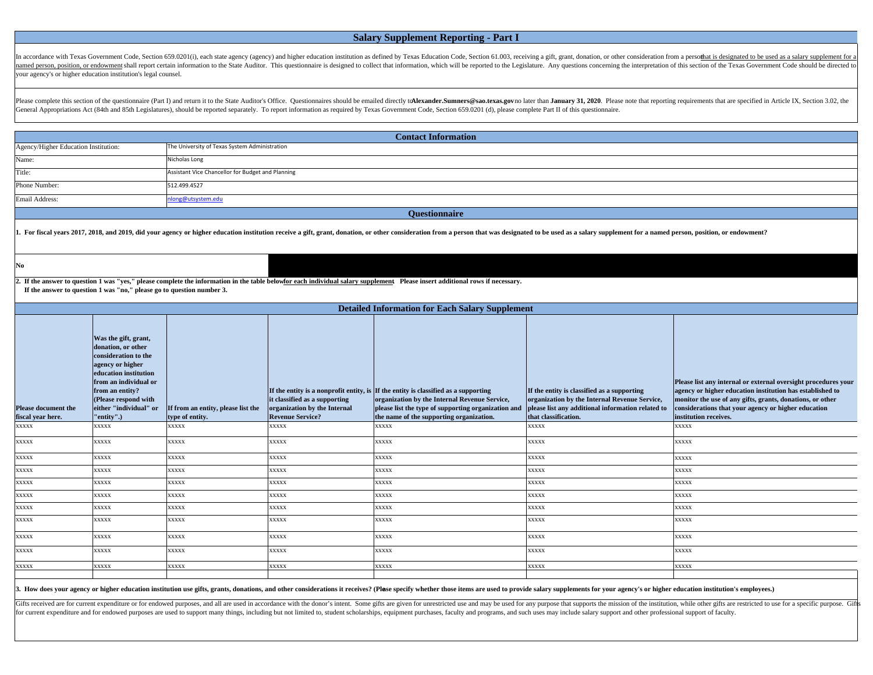## **Salary Supplement Reporting - Part I**

In accordance with Texas Government Code, Section 659.0201(i), each state agency (agency) and higher education institution as defined by Texas Education Code, Section 61.003, receiving a gift, grant, donation, or other con named person, position, or endowment shall report certain information to the State Auditor. This questionnaire is designed to collect that information, which will be reported to the Legislature. Any questions concerning th your agency's or higher education institution's legal counsel.

Please complete this section of the questionnaire (Part I) and return it to the State Auditor's Office. Questionnaires should be emailed directly to Alexander.Sumners@sao.texas.govno later than January 31, 2020. Please not General Appropriations Act (84th and 85th Legislatures), should be reported separately. To report information as required by Texas Government Code, Section 659.0201 (d), please complete Part II of this questionnaire.

| Agency/Higher Education Institution:<br>The University of Texas System Administration<br>Name:<br>Nicholas Long<br>Title:<br>Assistant Vice Chancellor for Budget and Planning<br>512.499.4527<br>Email Address:<br>long@utsystem.edu<br><b>Ouestionnaire</b>                                                                                                                                                                                                                                                                                                                                                                                                                                                                                                                                                                                                                                                                                                                                                                                                                                                                           |  |  |  |  |  |  |  |
|-----------------------------------------------------------------------------------------------------------------------------------------------------------------------------------------------------------------------------------------------------------------------------------------------------------------------------------------------------------------------------------------------------------------------------------------------------------------------------------------------------------------------------------------------------------------------------------------------------------------------------------------------------------------------------------------------------------------------------------------------------------------------------------------------------------------------------------------------------------------------------------------------------------------------------------------------------------------------------------------------------------------------------------------------------------------------------------------------------------------------------------------|--|--|--|--|--|--|--|
|                                                                                                                                                                                                                                                                                                                                                                                                                                                                                                                                                                                                                                                                                                                                                                                                                                                                                                                                                                                                                                                                                                                                         |  |  |  |  |  |  |  |
|                                                                                                                                                                                                                                                                                                                                                                                                                                                                                                                                                                                                                                                                                                                                                                                                                                                                                                                                                                                                                                                                                                                                         |  |  |  |  |  |  |  |
| Phone Number:                                                                                                                                                                                                                                                                                                                                                                                                                                                                                                                                                                                                                                                                                                                                                                                                                                                                                                                                                                                                                                                                                                                           |  |  |  |  |  |  |  |
|                                                                                                                                                                                                                                                                                                                                                                                                                                                                                                                                                                                                                                                                                                                                                                                                                                                                                                                                                                                                                                                                                                                                         |  |  |  |  |  |  |  |
|                                                                                                                                                                                                                                                                                                                                                                                                                                                                                                                                                                                                                                                                                                                                                                                                                                                                                                                                                                                                                                                                                                                                         |  |  |  |  |  |  |  |
|                                                                                                                                                                                                                                                                                                                                                                                                                                                                                                                                                                                                                                                                                                                                                                                                                                                                                                                                                                                                                                                                                                                                         |  |  |  |  |  |  |  |
| 1. For fiscal years 2017, 2018, and 2019, did your agency or higher education institution receive a gift, grant, donation, or other consideration from a person that was designated to be used as a salary supplement for a na                                                                                                                                                                                                                                                                                                                                                                                                                                                                                                                                                                                                                                                                                                                                                                                                                                                                                                          |  |  |  |  |  |  |  |
| $\mathbf{No}$                                                                                                                                                                                                                                                                                                                                                                                                                                                                                                                                                                                                                                                                                                                                                                                                                                                                                                                                                                                                                                                                                                                           |  |  |  |  |  |  |  |
| 2. If the answer to question 1 was "yes," please complete the information in the table belowfor each individual salary supplement Please insert additional rows if necessary.<br>If the answer to question 1 was "no," please go to question number 3.                                                                                                                                                                                                                                                                                                                                                                                                                                                                                                                                                                                                                                                                                                                                                                                                                                                                                  |  |  |  |  |  |  |  |
| <b>Detailed Information for Each Salary Supplement</b>                                                                                                                                                                                                                                                                                                                                                                                                                                                                                                                                                                                                                                                                                                                                                                                                                                                                                                                                                                                                                                                                                  |  |  |  |  |  |  |  |
| Was the gift, grant,<br>donation, or other<br>consideration to the<br>agency or higher<br>education institution<br>from an individual or<br>Please list any internal or external oversight procedures your<br>from an entity?<br>If the entity is a nonprofit entity, is If the entity is classified as a supporting<br>agency or higher education institution has established to<br>If the entity is classified as a supporting<br>it classified as a supporting<br>organization by the Internal Revenue Service,<br>(Please respond with<br>organization by the Internal Revenue Service,<br>monitor the use of any gifts, grants, donations, or other<br>either "individual" or<br>organization by the Internal<br>please list the type of supporting organization and<br>please list any additional information related to<br><b>Please document the</b><br>If from an entity, please list the<br>considerations that your agency or higher education<br>fiscal year here.<br>"entity".)<br><b>Revenue Service?</b><br>the name of the supporting organization.<br>that classification.<br>type of entity.<br>institution receives. |  |  |  |  |  |  |  |
| $\mathbf{XXX} \mathbf{X}$<br>xxxxx<br><b>XXXXX</b><br>xxxx<br><b>XXXXX</b><br>xxxx<br>xxxxx                                                                                                                                                                                                                                                                                                                                                                                                                                                                                                                                                                                                                                                                                                                                                                                                                                                                                                                                                                                                                                             |  |  |  |  |  |  |  |
| <b>XXXXX</b><br>xxxxx<br>XXXX<br><b>XXXXX</b><br><b>XXXXX</b><br>xxxxx<br>xxxxx                                                                                                                                                                                                                                                                                                                                                                                                                                                                                                                                                                                                                                                                                                                                                                                                                                                                                                                                                                                                                                                         |  |  |  |  |  |  |  |
| xxxxx<br>xxxxx<br>xxxxx<br>xxxxx<br>xxxxx<br><b>XXXXX</b><br><b>XXXXX</b>                                                                                                                                                                                                                                                                                                                                                                                                                                                                                                                                                                                                                                                                                                                                                                                                                                                                                                                                                                                                                                                               |  |  |  |  |  |  |  |
| xxxxx<br>xxxx<br><b>XXXXX</b><br><b>XXXXX</b><br>XXXXX<br><b>XXXXX</b><br>XXXXX                                                                                                                                                                                                                                                                                                                                                                                                                                                                                                                                                                                                                                                                                                                                                                                                                                                                                                                                                                                                                                                         |  |  |  |  |  |  |  |
| xxxxx<br>XXXXX<br>xxxx<br><b>XXXXX</b><br>XXXXX<br><b>XXXXX</b><br><b>XXXXX</b>                                                                                                                                                                                                                                                                                                                                                                                                                                                                                                                                                                                                                                                                                                                                                                                                                                                                                                                                                                                                                                                         |  |  |  |  |  |  |  |
| <b>XXXXX</b><br>xxxxx<br><b>XXXXX</b><br><b>XXXXX</b><br>XXXX<br><b>XXXXX</b><br><b>XXXXX</b>                                                                                                                                                                                                                                                                                                                                                                                                                                                                                                                                                                                                                                                                                                                                                                                                                                                                                                                                                                                                                                           |  |  |  |  |  |  |  |
| <b>XXXXX</b><br>XXXXX<br><b>XXXXX</b><br>XXXX<br><b>XXXXX</b><br><b>XXXXX</b><br><b>XXXXX</b>                                                                                                                                                                                                                                                                                                                                                                                                                                                                                                                                                                                                                                                                                                                                                                                                                                                                                                                                                                                                                                           |  |  |  |  |  |  |  |
| <b>XXXXX</b><br><b>XXXXX</b><br><b>XXXXX</b><br>xxxx<br><b>XXXXX</b><br>XXXXX<br><b>XXXXX</b>                                                                                                                                                                                                                                                                                                                                                                                                                                                                                                                                                                                                                                                                                                                                                                                                                                                                                                                                                                                                                                           |  |  |  |  |  |  |  |
| xxxxx<br><b>XXXXX</b><br>xxxxx<br>xxxx<br><b>XXXXX</b><br>xxxxx<br>xxxxx                                                                                                                                                                                                                                                                                                                                                                                                                                                                                                                                                                                                                                                                                                                                                                                                                                                                                                                                                                                                                                                                |  |  |  |  |  |  |  |
| <b>XXXXX</b><br>XXXXX<br><b>XXXXX</b><br>XXXX<br><b>XXXXX</b><br>XXXXX<br><b>XXXXX</b>                                                                                                                                                                                                                                                                                                                                                                                                                                                                                                                                                                                                                                                                                                                                                                                                                                                                                                                                                                                                                                                  |  |  |  |  |  |  |  |
| <b>XXXXX</b><br><b>XXXXX</b><br><b>XXXXX</b><br><b>XXXXX</b><br><b>XXXXX</b><br>XXXXX<br><b>XXXXX</b>                                                                                                                                                                                                                                                                                                                                                                                                                                                                                                                                                                                                                                                                                                                                                                                                                                                                                                                                                                                                                                   |  |  |  |  |  |  |  |
|                                                                                                                                                                                                                                                                                                                                                                                                                                                                                                                                                                                                                                                                                                                                                                                                                                                                                                                                                                                                                                                                                                                                         |  |  |  |  |  |  |  |

3. How does your agency or higher education institution use gifts, grants, donations, and other considerations it receives? (Plase specify whether those items are used to provide salary supplements for your agency's or hig

Gifts received are for current expenditure or for endowed purposes, and all are used in accordance with the donor's intent. Some gifts are given for unrestricted use and may be used for any purpose that supports the missio for current expenditure and for endowed purposes are used to support many things, including but not limited to, student scholarships, equipment purchases, faculty and programs, and such uses may include salary support and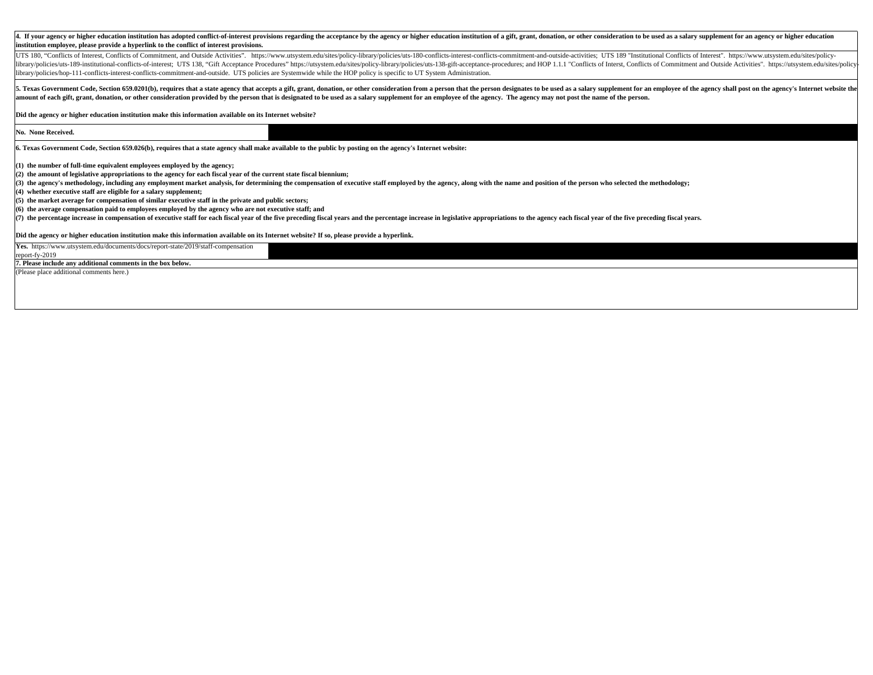| 4. If your agency or higher education institution has adopted conflict-of-interest provisions regarding the acceptance by the agency or higher education institution of a gift, grant, donation, or other consideration to be                                                                                                                                                                                                                                                                                                                                                                                                               |  |  |  |  |  |
|---------------------------------------------------------------------------------------------------------------------------------------------------------------------------------------------------------------------------------------------------------------------------------------------------------------------------------------------------------------------------------------------------------------------------------------------------------------------------------------------------------------------------------------------------------------------------------------------------------------------------------------------|--|--|--|--|--|
| institution employee, please provide a hyperlink to the conflict of interest provisions.                                                                                                                                                                                                                                                                                                                                                                                                                                                                                                                                                    |  |  |  |  |  |
| UTS 180, "Conflicts of Interest, Conflicts of Commitment, and Outside Activities". https://www.utsystem.edu/sites/policy-library/policies/uts-180-conflicts-interest-conflicts-commitment-and-outside-activities; UTS 189 "Ins<br>library/policies/uts-189-institutional-conflicts-of-interest; UTS 138, "Gift Acceptance Procedures" https://utsystem.edu/sites/policy-library/policies/uts-138-gift-acceptance-procedures; and HOP 1.1.1 "Conflicts of Interst<br>library/policies/hop-111-conflicts-interest-conflicts-commitment-and-outside. UTS policies are Systemwide while the HOP policy is specific to UT System Administration. |  |  |  |  |  |
| 5. Texas Government Code, Section 659.0201(b), requires that a state agency that accepts a gift, grant, donation, or other consideration from a person that the person designates to be used as a salary supplement for an emp<br>amount of each gift, grant, donation, or other consideration provided by the person that is designated to be used as a salary supplement for an employee of the agency. The agency may not post the name of the person.                                                                                                                                                                                   |  |  |  |  |  |
| Did the agency or higher education institution make this information available on its Internet website?                                                                                                                                                                                                                                                                                                                                                                                                                                                                                                                                     |  |  |  |  |  |
| No. None Received.                                                                                                                                                                                                                                                                                                                                                                                                                                                                                                                                                                                                                          |  |  |  |  |  |
| 6. Texas Government Code, Section 659.026(b), requires that a state agency shall make available to the public by posting on the agency's Internet website:                                                                                                                                                                                                                                                                                                                                                                                                                                                                                  |  |  |  |  |  |
| (1) the number of full-time equivalent employees employed by the agency;                                                                                                                                                                                                                                                                                                                                                                                                                                                                                                                                                                    |  |  |  |  |  |
| (2) the amount of legislative appropriations to the agency for each fiscal year of the current state fiscal biennium;                                                                                                                                                                                                                                                                                                                                                                                                                                                                                                                       |  |  |  |  |  |
| (3) the agency's methodology, including any employment market analysis, for determining the compensation of executive staff employed by the agency, along with the name and position of the person who selected the methodolog                                                                                                                                                                                                                                                                                                                                                                                                              |  |  |  |  |  |
| (4) whether executive staff are eligible for a salary supplement;                                                                                                                                                                                                                                                                                                                                                                                                                                                                                                                                                                           |  |  |  |  |  |
| (5) the market average for compensation of similar executive staff in the private and public sectors;                                                                                                                                                                                                                                                                                                                                                                                                                                                                                                                                       |  |  |  |  |  |
| (6) the average compensation paid to employees employed by the agency who are not executive staff; and                                                                                                                                                                                                                                                                                                                                                                                                                                                                                                                                      |  |  |  |  |  |
| (7) the percentage increase in compensation of executive staff for each fiscal year of the five preceding fiscal years and the percentage increase in legislative appropriations to the agency each fiscal year of the five pr                                                                                                                                                                                                                                                                                                                                                                                                              |  |  |  |  |  |
| Did the agency or higher education institution make this information available on its Internet website? If so, please provide a hyperlink.                                                                                                                                                                                                                                                                                                                                                                                                                                                                                                  |  |  |  |  |  |
| Yes. https://www.utsystem.edu/documents/docs/report-state/2019/staff-compensation                                                                                                                                                                                                                                                                                                                                                                                                                                                                                                                                                           |  |  |  |  |  |
| report-fy-2019                                                                                                                                                                                                                                                                                                                                                                                                                                                                                                                                                                                                                              |  |  |  |  |  |
| 7. Please include any additional comments in the box below.                                                                                                                                                                                                                                                                                                                                                                                                                                                                                                                                                                                 |  |  |  |  |  |

(Please place additional comments here.)